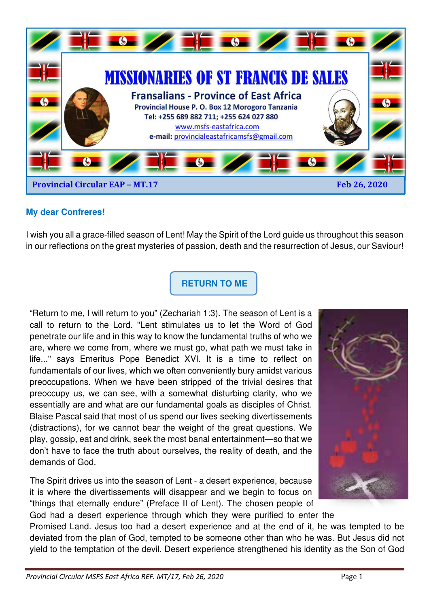

### **My dear Confreres!**

I wish you all a grace-filled season of Lent! May the Spirit of the Lord guide us throughout this season in our reflections on the great mysteries of passion, death and the resurrection of Jesus, our Saviour!

**RETURN TO ME** 

"Return to me, I will return to you" (Zechariah 1:3). The season of Lent is a call to return to the Lord. "Lent stimulates us to let the Word of God penetrate our life and in this way to know the fundamental truths of who we are, where we come from, where we must go, what path we must take in life..." says Emeritus Pope Benedict XVI. It is a time to reflect on fundamentals of our lives, which we often conveniently bury amidst various preoccupations. When we have been stripped of the trivial desires that preoccupy us, we can see, with a somewhat disturbing clarity, who we essentially are and what are our fundamental goals as disciples of Christ. Blaise Pascal said that most of us spend our lives seeking divertissements (distractions), for we cannot bear the weight of the great questions. We play, gossip, eat and drink, seek the most banal entertainment—so that we don't have to face the truth about ourselves, the reality of death, and the demands of God.

The Spirit drives us into the season of Lent - a desert experience, because it is where the divertissements will disappear and we begin to focus on "things that eternally endure" (Preface II of Lent). The chosen people of



God had a desert experience through which they were purified to enter the Promised Land. Jesus too had a desert experience and at the end of it, he was tempted to be

deviated from the plan of God, tempted to be someone other than who he was. But Jesus did not yield to the temptation of the devil. Desert experience strengthened his identity as the Son of God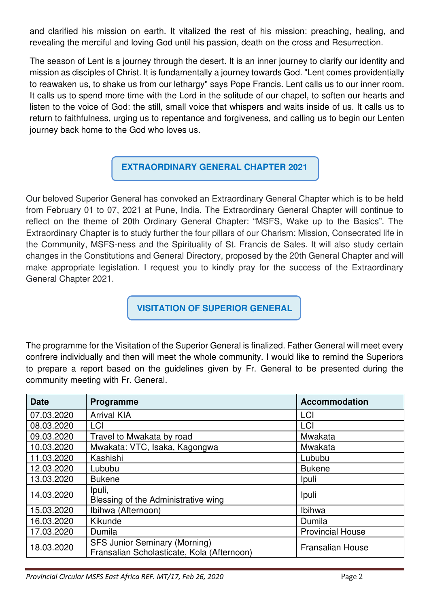and clarified his mission on earth. It vitalized the rest of his mission: preaching, healing, and revealing the merciful and loving God until his passion, death on the cross and Resurrection.

The season of Lent is a journey through the desert. It is an inner journey to clarify our identity and mission as disciples of Christ. It is fundamentally a journey towards God. "Lent comes providentially to reawaken us, to shake us from our lethargy" says Pope Francis. Lent calls us to our inner room. It calls us to spend more time with the Lord in the solitude of our chapel, to soften our hearts and listen to the voice of God: the still, small voice that whispers and waits inside of us. It calls us to return to faithfulness, urging us to repentance and forgiveness, and calling us to begin our Lenten journey back home to the God who loves us.

## **EXTRAORDINARY GENERAL CHAPTER 2021**

Our beloved Superior General has convoked an Extraordinary General Chapter which is to be held from February 01 to 07, 2021 at Pune, India. The Extraordinary General Chapter will continue to reflect on the theme of 20th Ordinary General Chapter: "MSFS, Wake up to the Basics". The Extraordinary Chapter is to study further the four pillars of our Charism: Mission, Consecrated life in the Community, MSFS-ness and the Spirituality of St. Francis de Sales. It will also study certain changes in the Constitutions and General Directory, proposed by the 20th General Chapter and will make appropriate legislation. I request you to kindly pray for the success of the Extraordinary General Chapter 2021.

**VISITATION OF SUPERIOR GENERAL** 

The programme for the Visitation of the Superior General is finalized. Father General will meet every confrere individually and then will meet the whole community. I would like to remind the Superiors to prepare a report based on the guidelines given by Fr. General to be presented during the community meeting with Fr. General.

| <b>Date</b> | Programme                                                                          | <b>Accommodation</b>    |
|-------------|------------------------------------------------------------------------------------|-------------------------|
| 07.03.2020  | <b>Arrival KIA</b>                                                                 | LCI                     |
| 08.03.2020  | LCI                                                                                | LCI                     |
| 09.03.2020  | Travel to Mwakata by road                                                          | Mwakata                 |
| 10.03.2020  | Mwakata: VTC, Isaka, Kagongwa                                                      | Mwakata                 |
| 11.03.2020  | Kashishi                                                                           | Lububu                  |
| 12.03.2020  | Lububu                                                                             | <b>Bukene</b>           |
| 13.03.2020  | <b>Bukene</b>                                                                      | Ipuli                   |
| 14.03.2020  | Ipuli,<br>Blessing of the Administrative wing                                      | Ipuli                   |
| 15.03.2020  | Ibihwa (Afternoon)                                                                 | Ibihwa                  |
| 16.03.2020  | Kikunde                                                                            | Dumila                  |
| 17.03.2020  | Dumila                                                                             | <b>Provincial House</b> |
| 18.03.2020  | <b>SFS Junior Seminary (Morning)</b><br>Fransalian Scholasticate, Kola (Afternoon) | <b>Fransalian House</b> |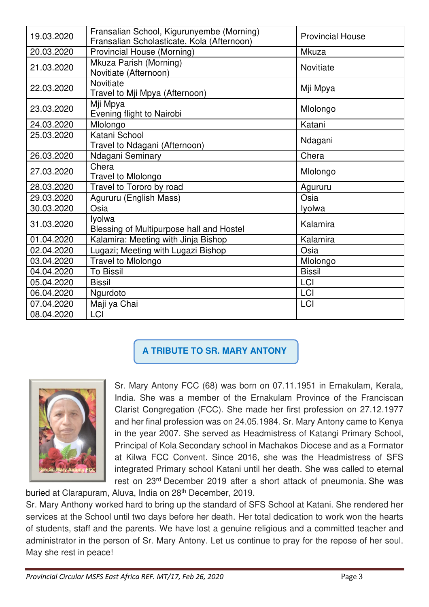| 19.03.2020 | Fransalian School, Kigurunyembe (Morning)<br>Fransalian Scholasticate, Kola (Afternoon) | <b>Provincial House</b> |  |
|------------|-----------------------------------------------------------------------------------------|-------------------------|--|
| 20.03.2020 | Provincial House (Morning)                                                              | Mkuza                   |  |
| 21.03.2020 | Mkuza Parish (Morning)<br>Novitiate (Afternoon)                                         | <b>Novitiate</b>        |  |
| 22.03.2020 | <b>Novitiate</b><br>Travel to Mji Mpya (Afternoon)                                      | Mji Mpya                |  |
| 23.03.2020 | Mji Mpya<br>Evening flight to Nairobi                                                   | Mlolongo                |  |
| 24.03.2020 | Mlolongo                                                                                | Katani                  |  |
| 25.03.2020 | Katani School<br>Travel to Ndagani (Afternoon)                                          | Ndagani                 |  |
| 26.03.2020 | Ndagani Seminary                                                                        | Chera                   |  |
| 27.03.2020 | Chera<br><b>Travel to Miolongo</b>                                                      | Mlolongo                |  |
| 28.03.2020 | Travel to Tororo by road                                                                | Agururu                 |  |
| 29.03.2020 | Agururu (English Mass)                                                                  | Osia                    |  |
| 30.03.2020 | Osia                                                                                    | lyolwa                  |  |
| 31.03.2020 | lyolwa<br>Blessing of Multipurpose hall and Hostel                                      | Kalamira                |  |
| 01.04.2020 | Kalamira: Meeting with Jinja Bishop                                                     | Kalamira                |  |
| 02.04.2020 | Lugazi; Meeting with Lugazi Bishop                                                      | Osia                    |  |
| 03.04.2020 | Travel to Mlolongo                                                                      | Mlolongo                |  |
| 04.04.2020 | <b>To Bissil</b>                                                                        | <b>Bissil</b>           |  |
| 05.04.2020 | <b>Bissil</b>                                                                           | <b>LCI</b>              |  |
| 06.04.2020 | Ngurdoto                                                                                | <b>LCI</b>              |  |
| 07.04.2020 | Maji ya Chai<br><b>LCI</b>                                                              |                         |  |
| 08.04.2020 | LCI                                                                                     |                         |  |

# **A TRIBUTE TO SR. MARY ANTONY**



Sr. Mary Antony FCC (68) was born on 07.11.1951 in Ernakulam, Kerala, India. She was a member of the Ernakulam Province of the Franciscan Clarist Congregation (FCC). She made her first profession on 27.12.1977 and her final profession was on 24.05.1984. Sr. Mary Antony came to Kenya in the year 2007. She served as Headmistress of Katangi Primary School, Principal of Kola Secondary school in Machakos Diocese and as a Formator at Kilwa FCC Convent. Since 2016, she was the Headmistress of SFS integrated Primary school Katani until her death. She was called to eternal rest on 23<sup>rd</sup> December 2019 after a short attack of pneumonia. She was

buried at Clarapuram, Aluva, India on 28<sup>th</sup> December, 2019. Sr. Mary Anthony worked hard to bring up the standard of SFS School at Katani. She rendered her services at the School until two days before her death. Her total dedication to work won the hearts of students, staff and the parents. We have lost a genuine religious and a committed teacher and administrator in the person of Sr. Mary Antony. Let us continue to pray for the repose of her soul. May she rest in peace!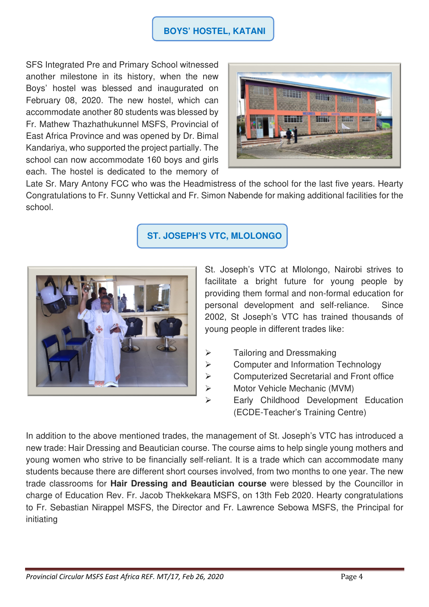### **BOYS' HOSTEL, KATANI**

SFS Integrated Pre and Primary School witnessed another milestone in its history, when the new Boys' hostel was blessed and inaugurated on February 08, 2020. The new hostel, which can accommodate another 80 students was blessed by Fr. Mathew Thazhathukunnel MSFS, Provincial of East Africa Province and was opened by Dr. Bimal Kandariya, who supported the project partially. The school can now accommodate 160 boys and girls each. The hostel is dedicated to the memory of



Late Sr. Mary Antony FCC who was the Headmistress of the school for the last five years. Hearty Congratulations to Fr. Sunny Vettickal and Fr. Simon Nabende for making additional facilities for the school.

## **ST. JOSEPH'S VTC, MLOLONGO**



St. Joseph's VTC at Mlolongo, Nairobi strives to facilitate a bright future for young people by providing them formal and non-formal education for personal development and self-reliance. Since 2002, St Joseph's VTC has trained thousands of young people in different trades like:

- > Tailoring and Dressmaking
- $\triangleright$  Computer and Information Technology
- **▶ Computerized Secretarial and Front office**
- Motor Vehicle Mechanic (MVM)
- Early Childhood Development Education (ECDE-Teacher's Training Centre)

In addition to the above mentioned trades, the management of St. Joseph's VTC has introduced a new trade: Hair Dressing and Beautician course. The course aims to help single young mothers and young women who strive to be financially self-reliant. It is a trade which can accommodate many students because there are different short courses involved, from two months to one year. The new trade classrooms for **Hair Dressing and Beautician course** were blessed by the Councillor in charge of Education Rev. Fr. Jacob Thekkekara MSFS, on 13th Feb 2020. Hearty congratulations to Fr. Sebastian Nirappel MSFS, the Director and Fr. Lawrence Sebowa MSFS, the Principal for initiating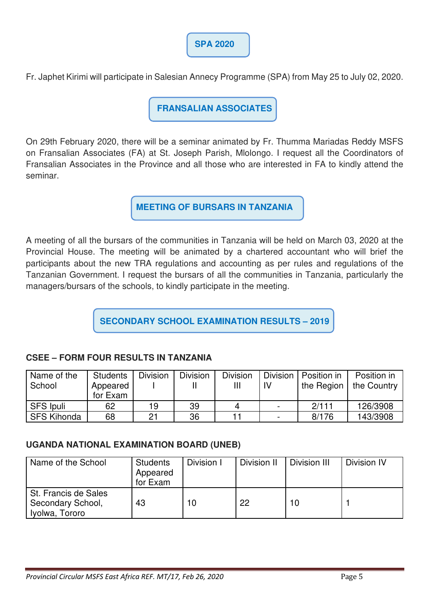

Fr. Japhet Kirimi will participate in Salesian Annecy Programme (SPA) from May 25 to July 02, 2020.

**FRANSALIAN ASSOCIATES** 

On 29th February 2020, there will be a seminar animated by Fr. Thumma Mariadas Reddy MSFS on Fransalian Associates (FA) at St. Joseph Parish, Mlolongo. I request all the Coordinators of Fransalian Associates in the Province and all those who are interested in FA to kindly attend the seminar.

**MEETING OF BURSARS IN TANZANIA** 

A meeting of all the bursars of the communities in Tanzania will be held on March 03, 2020 at the Provincial House. The meeting will be animated by a chartered accountant who will brief the participants about the new TRA regulations and accounting as per rules and regulations of the Tanzanian Government. I request the bursars of all the communities in Tanzania, particularly the managers/bursars of the schools, to kindly participate in the meeting.

**SECONDARY SCHOOL EXAMINATION RESULTS – 2019**

### **CSEE – FORM FOUR RESULTS IN TANZANIA**

| Name of the        | <b>Students</b> | <b>Division</b> | <b>Division</b> | <b>Division</b> | Division                 | Position in | Position in |
|--------------------|-----------------|-----------------|-----------------|-----------------|--------------------------|-------------|-------------|
| School             | Appeared        |                 |                 |                 | IV                       | the Region  | the Country |
|                    | for Exam        |                 |                 |                 |                          |             |             |
| SFS Ipuli          | 62              | 19              | 39              | 4               | $\overline{\phantom{0}}$ | 2/111       | 126/3908    |
| <b>SFS Kihonda</b> | 68              |                 | 36              |                 | $\overline{\phantom{0}}$ | 8/176       | 143/3908    |

#### **UGANDA NATIONAL EXAMINATION BOARD (UNEB)**

| Name of the School                                          | <b>Students</b><br>Appeared<br>for Exam | Division I | Division II | Division III | Division IV |
|-------------------------------------------------------------|-----------------------------------------|------------|-------------|--------------|-------------|
| St. Francis de Sales<br>Secondary School,<br>Iyolwa, Tororo | 43                                      | 10         | 22          | 10           |             |